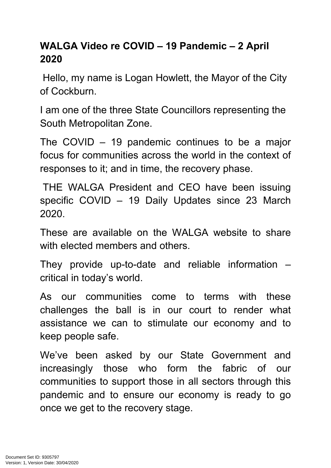## **WALGA Video re COVID – 19 Pandemic – 2 April 2020**

 Hello, my name is Logan Howlett, the Mayor of the City of Cockburn.

I am one of the three State Councillors representing the South Metropolitan Zone.

The COVID – 19 pandemic continues to be a major focus for communities across the world in the context of responses to it; and in time, the recovery phase.

 THE WALGA President and CEO have been issuing specific COVID – 19 Daily Updates since 23 March 2020.

These are available on the WALGA website to share with elected members and others.

They provide up-to-date and reliable information – critical in today's world.

As our communities come to terms with these challenges the ball is in our court to render what assistance we can to stimulate our economy and to keep people safe.

We've been asked by our State Government and increasingly those who form the fabric of our communities to support those in all sectors through this pandemic and to ensure our economy is ready to go once we get to the recovery stage.